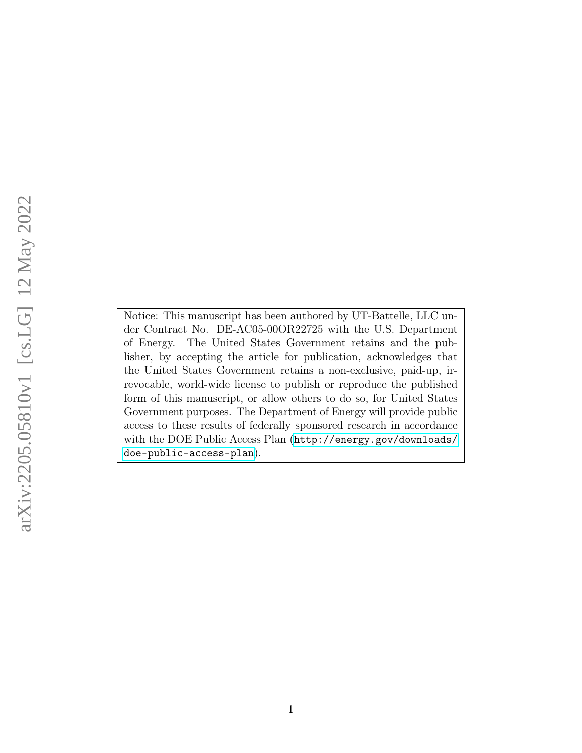Notice: This manuscript has been authored by UT-Battelle, LLC under Contract No. DE-AC05-00OR22725 with the U.S. Department of Energy. The United States Government retains and the publisher, by accepting the article for publication, acknowledges that the United States Government retains a non-exclusive, paid-up, irrevocable, world-wide license to publish or reproduce the published form of this manuscript, or allow others to do so, for United States Government purposes. The Department of Energy will provide public access to these results of federally sponsored research in accordance with the DOE Public Access Plan ([http://energy.gov/downloads/](http://energy.gov/downloads/doe-public-access-plan) [doe-public-access-plan](http://energy.gov/downloads/doe-public-access-plan)).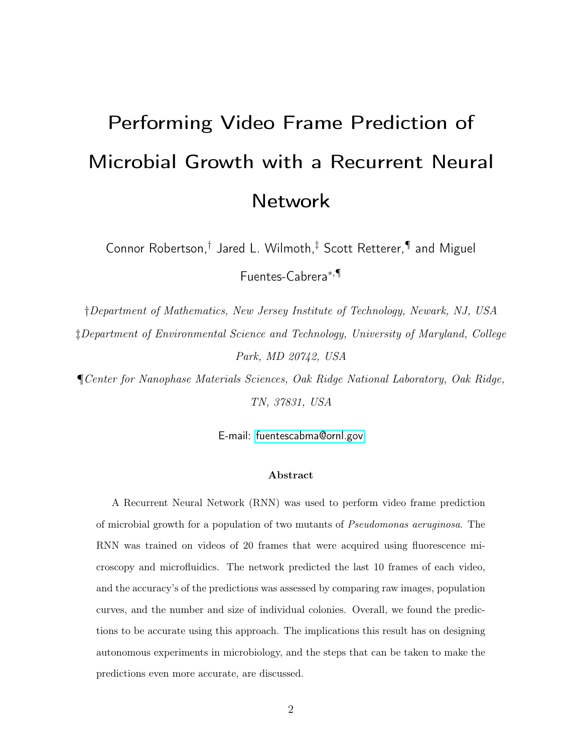# Performing Video Frame Prediction of Microbial Growth with a Recurrent Neural Network

Connor Robertson,† Jared L. Wilmoth,‡ Scott Retterer,¶ and Miguel Fuentes-Cabrera<sup>∗</sup>,¶

†Department of Mathematics, New Jersey Institute of Technology, Newark, NJ, USA ‡Department of Environmental Science and Technology, University of Maryland, College Park, MD 20742, USA

¶Center for Nanophase Materials Sciences, Oak Ridge National Laboratory, Oak Ridge, TN, 37831, USA

E-mail:<fuentescabma@ornl.gov>

#### Abstract

A Recurrent Neural Network (RNN) was used to perform video frame prediction of microbial growth for a population of two mutants of Pseudomonas aeruginosa. The RNN was trained on videos of 20 frames that were acquired using fluorescence microscopy and microfluidics. The network predicted the last 10 frames of each video, and the accuracy's of the predictions was assessed by comparing raw images, population curves, and the number and size of individual colonies. Overall, we found the predictions to be accurate using this approach. The implications this result has on designing autonomous experiments in microbiology, and the steps that can be taken to make the predictions even more accurate, are discussed.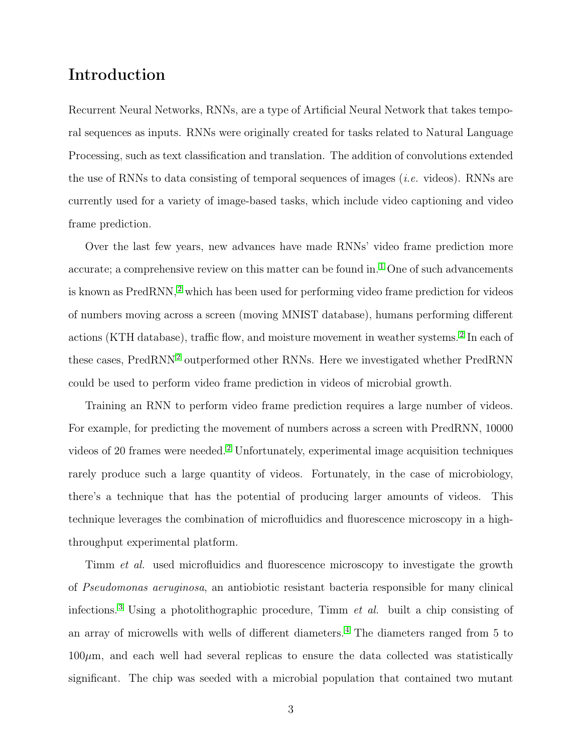# Introduction

Recurrent Neural Networks, RNNs, are a type of Artificial Neural Network that takes temporal sequences as inputs. RNNs were originally created for tasks related to Natural Language Processing, such as text classification and translation. The addition of convolutions extended the use of RNNs to data consisting of temporal sequences of images (*i.e.* videos). RNNs are currently used for a variety of image-based tasks, which include video captioning and video frame prediction.

Over the last few years, new advances have made RNNs' video frame prediction more accurate; a comprehensive review on this matter can be found in.<sup>[1](#page-13-0)</sup> One of such advancements is known as PredRNN, [2](#page-13-1) which has been used for performing video frame prediction for videos of numbers moving across a screen (moving MNIST database), humans performing different actions (KTH database), traffic flow, and moisture movement in weather systems. [2](#page-13-1) In each of these cases, PredRNN<sup>[2](#page-13-1)</sup> outperformed other RNNs. Here we investigated whether PredRNN could be used to perform video frame prediction in videos of microbial growth.

Training an RNN to perform video frame prediction requires a large number of videos. For example, for predicting the movement of numbers across a screen with PredRNN, 10000 videos of 20 frames were needed. [2](#page-13-1) Unfortunately, experimental image acquisition techniques rarely produce such a large quantity of videos. Fortunately, in the case of microbiology, there's a technique that has the potential of producing larger amounts of videos. This technique leverages the combination of microfluidics and fluorescence microscopy in a highthroughput experimental platform.

Timm *et al.* used microfluidics and fluorescence microscopy to investigate the growth of Pseudomonas aeruginosa, an antiobiotic resistant bacteria responsible for many clinical infections.<sup>[3](#page-13-2)</sup> Using a photolithographic procedure, Timm *et al.* built a chip consisting of an array of microwells with wells of different diameters. [4](#page-14-0) The diameters ranged from 5 to  $100\mu$ m, and each well had several replicas to ensure the data collected was statistically significant. The chip was seeded with a microbial population that contained two mutant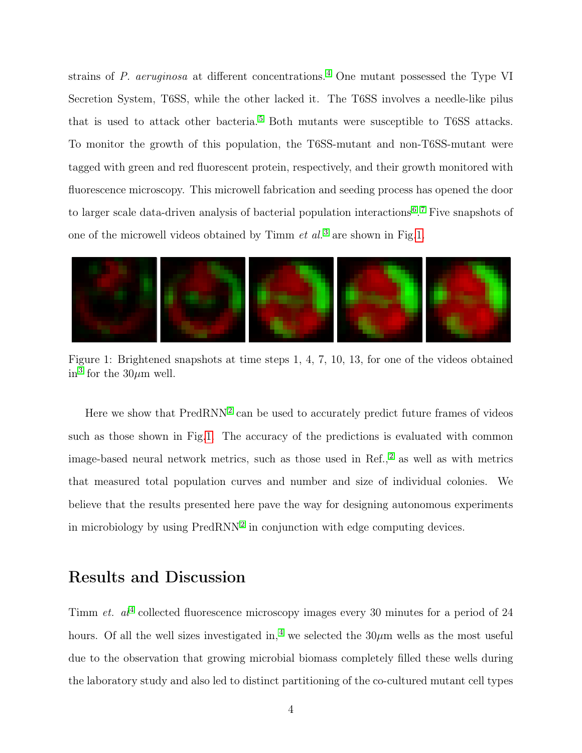strains of P. aeruginosa at different concentrations. [4](#page-14-0) One mutant possessed the Type VI Secretion System, T6SS, while the other lacked it. The T6SS involves a needle-like pilus that is used to attack other bacteria. [5](#page-14-1) Both mutants were susceptible to T6SS attacks. To monitor the growth of this population, the T6SS-mutant and non-T6SS-mutant were tagged with green and red fluorescent protein, respectively, and their growth monitored with fluorescence microscopy. This microwell fabrication and seeding process has opened the door to larger scale data-driven analysis of bacterial population interactions<sup>[6](#page-14-2)</sup>.<sup>[7](#page-14-3)</sup> Five snapshots of one of the microwell videos obtained by Timm  $et \ al$ <sup>[3](#page-13-2)</sup> are shown in Fig[.1.](#page-3-0)

<span id="page-3-0"></span>

Figure 1: Brightened snapshots at time steps 1, 4, 7, 10, 13, for one of the videos obtained in<sup>[3](#page-13-2)</sup> for the  $30\mu$ m well.

Here we show that  $PredRNN<sup>2</sup>$  $PredRNN<sup>2</sup>$  $PredRNN<sup>2</sup>$  can be used to accurately predict future frames of videos such as those shown in Fig[.1.](#page-3-0) The accuracy of the predictions is evaluated with common image-based neural network metrics, such as those used in Ref.,<sup>[2](#page-13-1)</sup> as well as with metrics that measured total population curves and number and size of individual colonies. We believe that the results presented here pave the way for designing autonomous experiments in microbiology by using  $PredRNN<sup>2</sup>$  $PredRNN<sup>2</sup>$  $PredRNN<sup>2</sup>$  in conjunction with edge computing devices.

# Results and Discussion

Timm *et.*  $al^4$  $al^4$  collected fluorescence microscopy images every 30 minutes for a period of 24 hours. Of all the well sizes investigated in,<sup>[4](#page-14-0)</sup> we selected the  $30\mu$ m wells as the most useful due to the observation that growing microbial biomass completely filled these wells during the laboratory study and also led to distinct partitioning of the co-cultured mutant cell types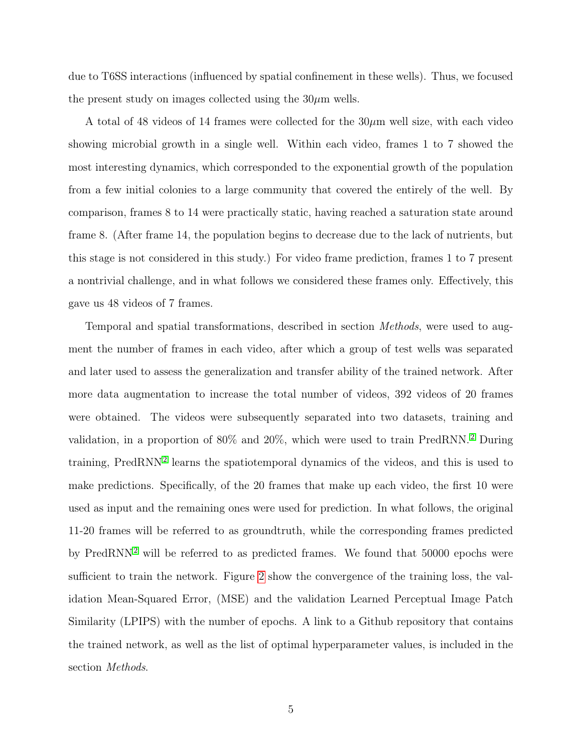due to T6SS interactions (influenced by spatial confinement in these wells). Thus, we focused the present study on images collected using the  $30\mu$ m wells.

A total of 48 videos of 14 frames were collected for the  $30\mu m$  well size, with each video showing microbial growth in a single well. Within each video, frames 1 to 7 showed the most interesting dynamics, which corresponded to the exponential growth of the population from a few initial colonies to a large community that covered the entirely of the well. By comparison, frames 8 to 14 were practically static, having reached a saturation state around frame 8. (After frame 14, the population begins to decrease due to the lack of nutrients, but this stage is not considered in this study.) For video frame prediction, frames 1 to 7 present a nontrivial challenge, and in what follows we considered these frames only. Effectively, this gave us 48 videos of 7 frames.

Temporal and spatial transformations, described in section Methods, were used to augment the number of frames in each video, after which a group of test wells was separated and later used to assess the generalization and transfer ability of the trained network. After more data augmentation to increase the total number of videos, 392 videos of 20 frames were obtained. The videos were subsequently separated into two datasets, training and validation, in a proportion of 80% and 20%, which were used to train PredRNN. [2](#page-13-1) During training, PredRNN<sup>[2](#page-13-1)</sup> learns the spatiotemporal dynamics of the videos, and this is used to make predictions. Specifically, of the 20 frames that make up each video, the first 10 were used as input and the remaining ones were used for prediction. In what follows, the original 11-20 frames will be referred to as groundtruth, while the corresponding frames predicted by PredRNN<sup>[2](#page-13-1)</sup> will be referred to as predicted frames. We found that  $50000$  epochs were sufficient to train the network. Figure [2](#page-5-0) show the convergence of the training loss, the validation Mean-Squared Error, (MSE) and the validation Learned Perceptual Image Patch Similarity (LPIPS) with the number of epochs. A link to a Github repository that contains the trained network, as well as the list of optimal hyperparameter values, is included in the section Methods.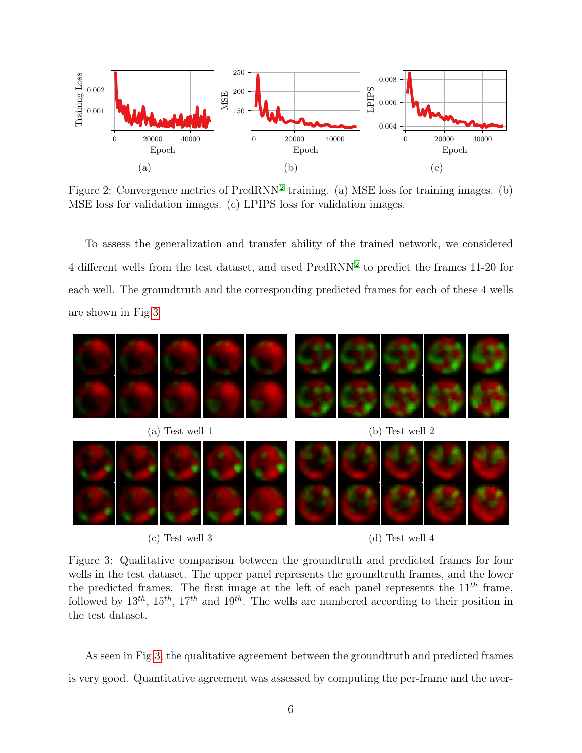<span id="page-5-0"></span>

Figure [2](#page-13-1): Convergence metrics of PredRNN<sup>2</sup> training. (a) MSE loss for training images. (b) MSE loss for validation images. (c) LPIPS loss for validation images.

To assess the generalization and transfer ability of the trained network, we considered 4 different wells from the test dataset, and used PredRNN<sup>[2](#page-13-1)</sup> to predict the frames 11-20 for each well. The groundtruth and the corresponding predicted frames for each of these 4 wells are shown in Fig[.3](#page-5-1)

<span id="page-5-1"></span>

(c) Test well 3  $(d)$  Test well 4

Figure 3: Qualitative comparison between the groundtruth and predicted frames for four wells in the test dataset. The upper panel represents the groundtruth frames, and the lower the predicted frames. The first image at the left of each panel represents the  $11^{th}$  frame, followed by  $13^{th}$ ,  $15^{th}$ ,  $17^{th}$  and  $19^{th}$ . The wells are numbered according to their position in the test dataset.

As seen in Fig[.3,](#page-5-1) the qualitative agreement between the groundtruth and predicted frames is very good. Quantitative agreement was assessed by computing the per-frame and the aver-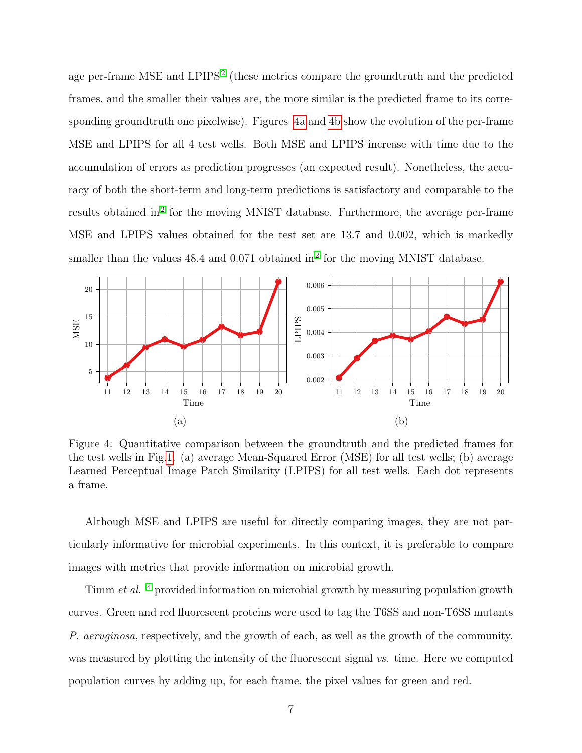age per-frame MSE and LPIPS<sup>[2](#page-13-1)</sup> (these metrics compare the groundtruth and the predicted frames, and the smaller their values are, the more similar is the predicted frame to its corresponding groundtruth one pixelwise). Figures [4a](#page-6-0) and [4b](#page-6-0) show the evolution of the per-frame MSE and LPIPS for all 4 test wells. Both MSE and LPIPS increase with time due to the accumulation of errors as prediction progresses (an expected result). Nonetheless, the accuracy of both the short-term and long-term predictions is satisfactory and comparable to the results obtained in<sup>[2](#page-13-1)</sup> for the moving MNIST database. Furthermore, the average per-frame MSE and LPIPS values obtained for the test set are 13.7 and 0.002, which is markedly smaller than the values  $48.4$  and  $0.071$  obtained in<sup>[2](#page-13-1)</sup> for the moving MNIST database.

<span id="page-6-0"></span>

Figure 4: Quantitative comparison between the groundtruth and the predicted frames for the test wells in Fig[.1.](#page-3-0) (a) average Mean-Squared Error (MSE) for all test wells; (b) average Learned Perceptual Image Patch Similarity (LPIPS) for all test wells. Each dot represents a frame.

Although MSE and LPIPS are useful for directly comparing images, they are not particularly informative for microbial experiments. In this context, it is preferable to compare images with metrics that provide information on microbial growth.

Timm *et al.* <sup>[4](#page-14-0)</sup> provided information on microbial growth by measuring population growth curves. Green and red fluorescent proteins were used to tag the T6SS and non-T6SS mutants P. aeruginosa, respectively, and the growth of each, as well as the growth of the community, was measured by plotting the intensity of the fluorescent signal vs. time. Here we computed population curves by adding up, for each frame, the pixel values for green and red.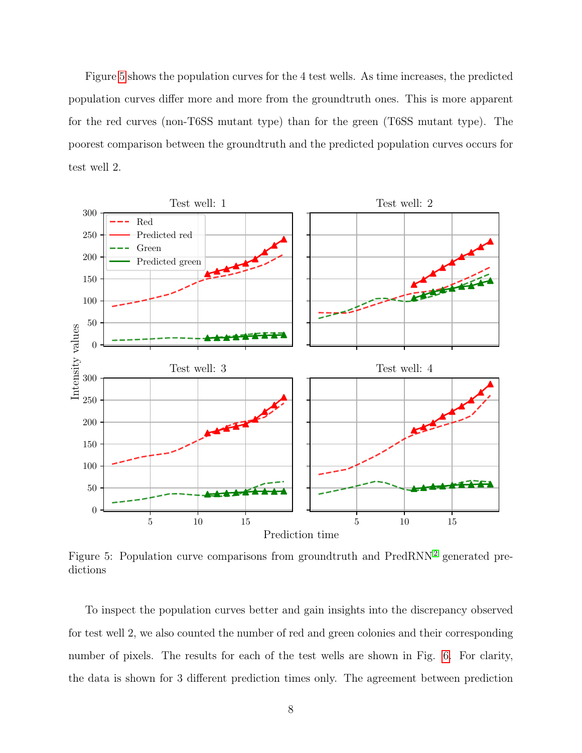Figure [5](#page-7-0) shows the population curves for the 4 test wells. As time increases, the predicted population curves differ more and more from the groundtruth ones. This is more apparent for the red curves (non-T6SS mutant type) than for the green (T6SS mutant type). The poorest comparison between the groundtruth and the predicted population curves occurs for test well 2.

<span id="page-7-0"></span>

Figure 5: Population curve comparisons from groundtruth and  $PredRNN<sup>2</sup>$  $PredRNN<sup>2</sup>$  $PredRNN<sup>2</sup>$  generated predictions

To inspect the population curves better and gain insights into the discrepancy observed for test well 2, we also counted the number of red and green colonies and their corresponding number of pixels. The results for each of the test wells are shown in Fig. [6.](#page-9-0) For clarity, the data is shown for 3 different prediction times only. The agreement between prediction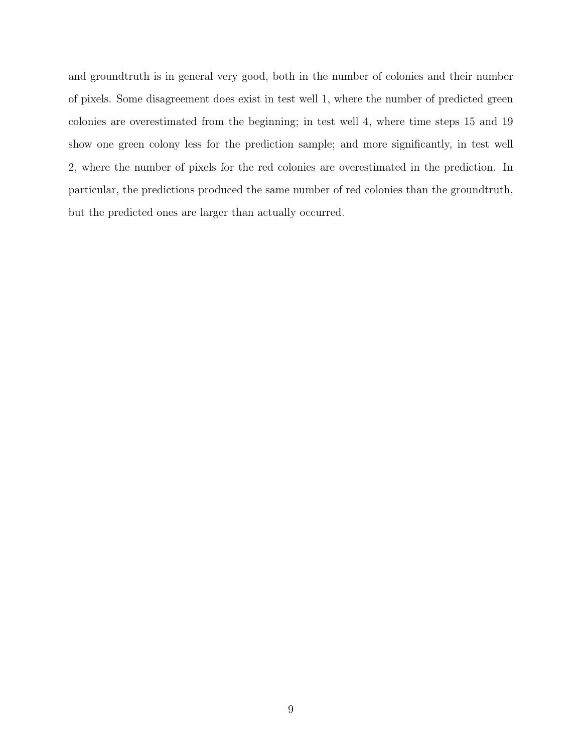and groundtruth is in general very good, both in the number of colonies and their number of pixels. Some disagreement does exist in test well 1, where the number of predicted green colonies are overestimated from the beginning; in test well 4, where time steps 15 and 19 show one green colony less for the prediction sample; and more significantly, in test well 2, where the number of pixels for the red colonies are overestimated in the prediction. In particular, the predictions produced the same number of red colonies than the groundtruth, but the predicted ones are larger than actually occurred.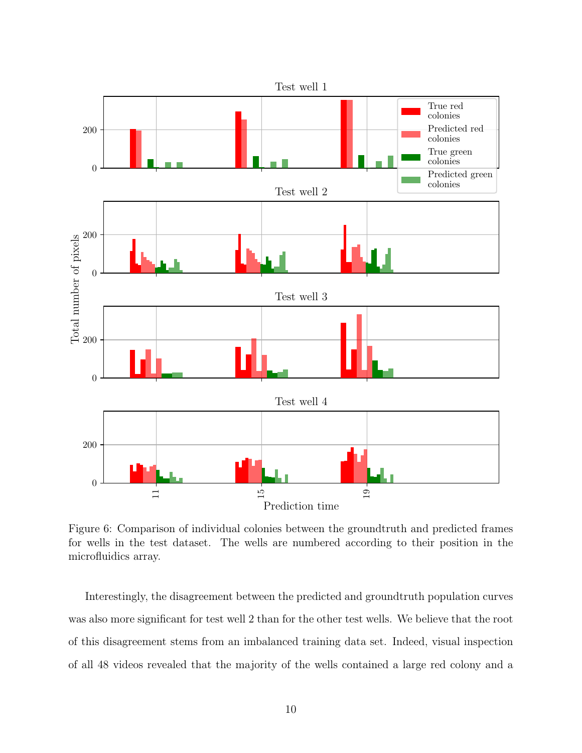<span id="page-9-0"></span>

Figure 6: Comparison of individual colonies between the groundtruth and predicted frames for wells in the test dataset. The wells are numbered according to their position in the microfluidics array.

Interestingly, the disagreement between the predicted and groundtruth population curves was also more significant for test well 2 than for the other test wells. We believe that the root of this disagreement stems from an imbalanced training data set. Indeed, visual inspection of all 48 videos revealed that the majority of the wells contained a large red colony and a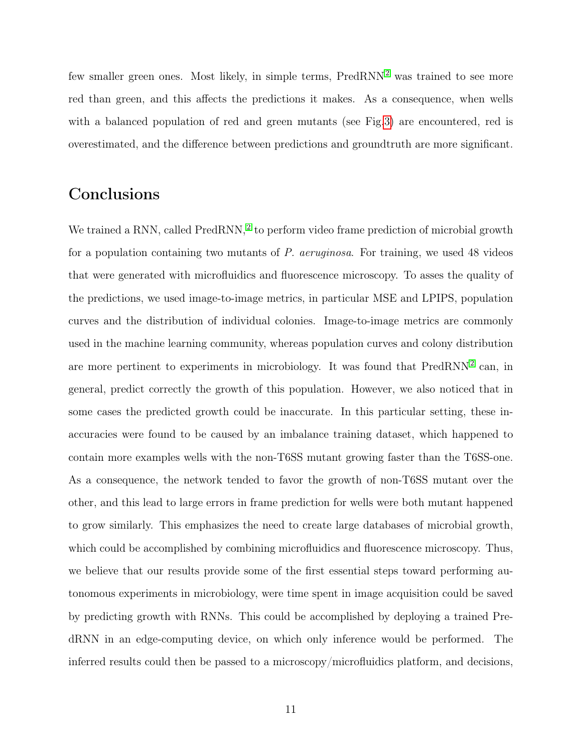few smaller green ones. Most likely, in simple terms,  $PredRNN<sup>2</sup>$  $PredRNN<sup>2</sup>$  $PredRNN<sup>2</sup>$  was trained to see more red than green, and this affects the predictions it makes. As a consequence, when wells with a balanced population of red and green mutants (see Fig[.3\)](#page-5-1) are encountered, red is overestimated, and the difference between predictions and groundtruth are more significant.

### **Conclusions**

We trained a RNN, called PredRNN,<sup>[2](#page-13-1)</sup> to perform video frame prediction of microbial growth for a population containing two mutants of P. aeruginosa. For training, we used 48 videos that were generated with microfluidics and fluorescence microscopy. To asses the quality of the predictions, we used image-to-image metrics, in particular MSE and LPIPS, population curves and the distribution of individual colonies. Image-to-image metrics are commonly used in the machine learning community, whereas population curves and colony distribution are more pertinent to experiments in microbiology. It was found that  $PredRNN<sup>2</sup>$  $PredRNN<sup>2</sup>$  $PredRNN<sup>2</sup>$  can, in general, predict correctly the growth of this population. However, we also noticed that in some cases the predicted growth could be inaccurate. In this particular setting, these inaccuracies were found to be caused by an imbalance training dataset, which happened to contain more examples wells with the non-T6SS mutant growing faster than the T6SS-one. As a consequence, the network tended to favor the growth of non-T6SS mutant over the other, and this lead to large errors in frame prediction for wells were both mutant happened to grow similarly. This emphasizes the need to create large databases of microbial growth, which could be accomplished by combining microfluidics and fluorescence microscopy. Thus, we believe that our results provide some of the first essential steps toward performing autonomous experiments in microbiology, were time spent in image acquisition could be saved by predicting growth with RNNs. This could be accomplished by deploying a trained PredRNN in an edge-computing device, on which only inference would be performed. The inferred results could then be passed to a microscopy/microfluidics platform, and decisions,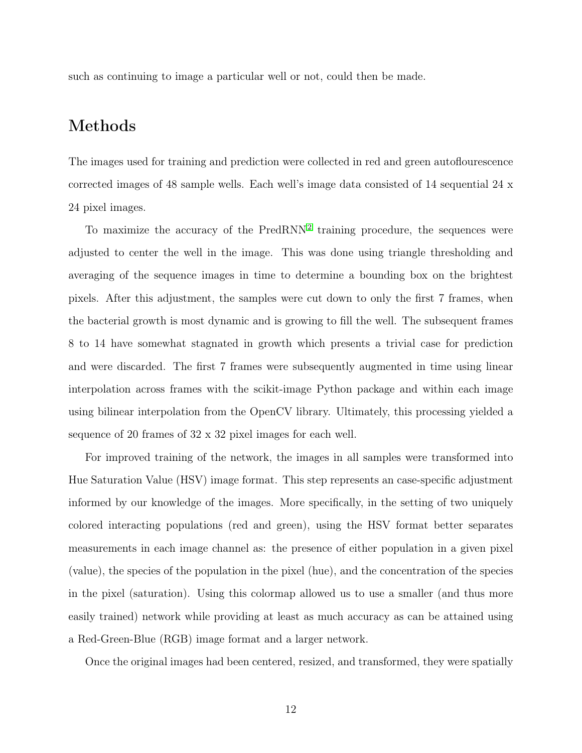such as continuing to image a particular well or not, could then be made.

# Methods

The images used for training and prediction were collected in red and green autoflourescence corrected images of 48 sample wells. Each well's image data consisted of 14 sequential 24 x 24 pixel images.

To maximize the accuracy of the PredRNN<sup>[2](#page-13-1)</sup> training procedure, the sequences were adjusted to center the well in the image. This was done using triangle thresholding and averaging of the sequence images in time to determine a bounding box on the brightest pixels. After this adjustment, the samples were cut down to only the first 7 frames, when the bacterial growth is most dynamic and is growing to fill the well. The subsequent frames 8 to 14 have somewhat stagnated in growth which presents a trivial case for prediction and were discarded. The first 7 frames were subsequently augmented in time using linear interpolation across frames with the scikit-image Python package and within each image using bilinear interpolation from the OpenCV library. Ultimately, this processing yielded a sequence of 20 frames of 32 x 32 pixel images for each well.

For improved training of the network, the images in all samples were transformed into Hue Saturation Value (HSV) image format. This step represents an case-specific adjustment informed by our knowledge of the images. More specifically, in the setting of two uniquely colored interacting populations (red and green), using the HSV format better separates measurements in each image channel as: the presence of either population in a given pixel (value), the species of the population in the pixel (hue), and the concentration of the species in the pixel (saturation). Using this colormap allowed us to use a smaller (and thus more easily trained) network while providing at least as much accuracy as can be attained using a Red-Green-Blue (RGB) image format and a larger network.

Once the original images had been centered, resized, and transformed, they were spatially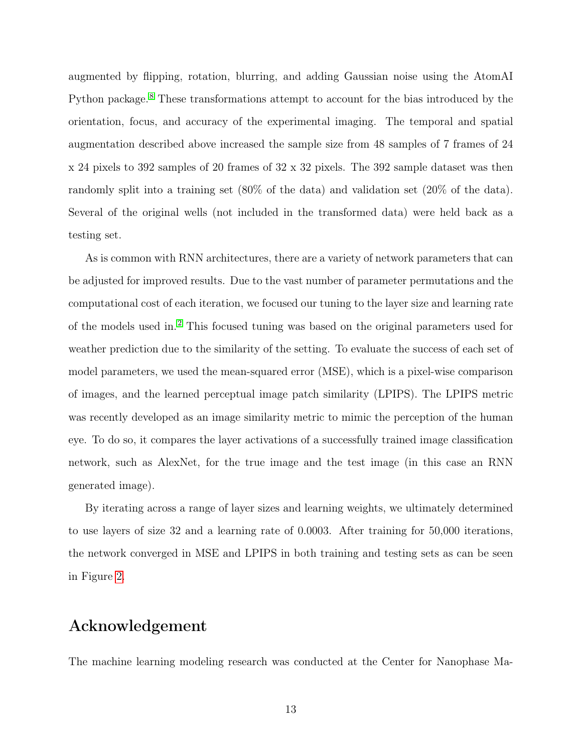augmented by flipping, rotation, blurring, and adding Gaussian noise using the AtomAI Python package. [8](#page-14-4) These transformations attempt to account for the bias introduced by the orientation, focus, and accuracy of the experimental imaging. The temporal and spatial augmentation described above increased the sample size from 48 samples of 7 frames of 24 x 24 pixels to 392 samples of 20 frames of 32 x 32 pixels. The 392 sample dataset was then randomly split into a training set (80% of the data) and validation set (20% of the data). Several of the original wells (not included in the transformed data) were held back as a testing set.

As is common with RNN architectures, there are a variety of network parameters that can be adjusted for improved results. Due to the vast number of parameter permutations and the computational cost of each iteration, we focused our tuning to the layer size and learning rate of the models used in. [2](#page-13-1) This focused tuning was based on the original parameters used for weather prediction due to the similarity of the setting. To evaluate the success of each set of model parameters, we used the mean-squared error (MSE), which is a pixel-wise comparison of images, and the learned perceptual image patch similarity (LPIPS). The LPIPS metric was recently developed as an image similarity metric to mimic the perception of the human eye. To do so, it compares the layer activations of a successfully trained image classification network, such as AlexNet, for the true image and the test image (in this case an RNN generated image).

By iterating across a range of layer sizes and learning weights, we ultimately determined to use layers of size 32 and a learning rate of 0.0003. After training for 50,000 iterations, the network converged in MSE and LPIPS in both training and testing sets as can be seen in Figure [2.](#page-5-0)

#### Acknowledgement

The machine learning modeling research was conducted at the Center for Nanophase Ma-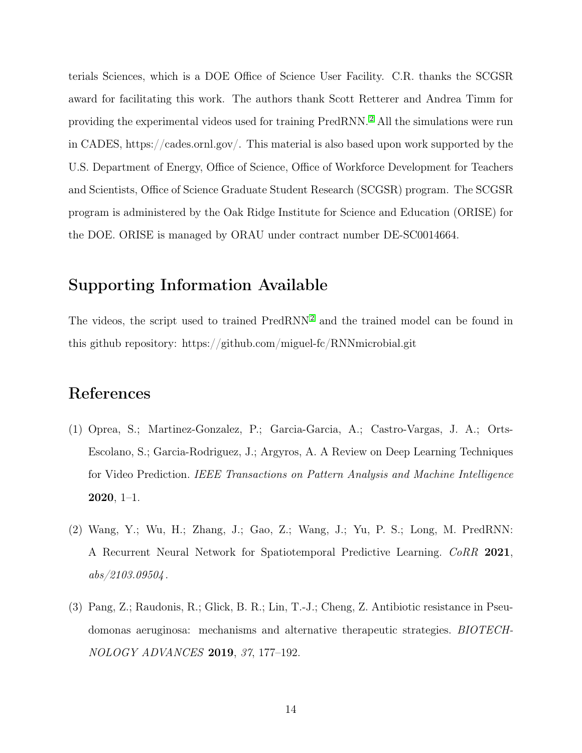terials Sciences, which is a DOE Office of Science User Facility. C.R. thanks the SCGSR award for facilitating this work. The authors thank Scott Retterer and Andrea Timm for providing the experimental videos used for training PredRNN. [2](#page-13-1) All the simulations were run in CADES, https://cades.ornl.gov/. This material is also based upon work supported by the U.S. Department of Energy, Office of Science, Office of Workforce Development for Teachers and Scientists, Office of Science Graduate Student Research (SCGSR) program. The SCGSR program is administered by the Oak Ridge Institute for Science and Education (ORISE) for the DOE. ORISE is managed by ORAU under contract number DE-SC0014664.

### Supporting Information Available

The videos, the script used to trained PredRNN<sup>[2](#page-13-1)</sup> and the trained model can be found in this github repository: https://github.com/miguel-fc/RNNmicrobial.git

### References

- <span id="page-13-0"></span>(1) Oprea, S.; Martinez-Gonzalez, P.; Garcia-Garcia, A.; Castro-Vargas, J. A.; Orts-Escolano, S.; Garcia-Rodriguez, J.; Argyros, A. A Review on Deep Learning Techniques for Video Prediction. IEEE Transactions on Pattern Analysis and Machine Intelligence  $2020, 1-1.$
- <span id="page-13-1"></span>(2) Wang, Y.; Wu, H.; Zhang, J.; Gao, Z.; Wang, J.; Yu, P. S.; Long, M. PredRNN: A Recurrent Neural Network for Spatiotemporal Predictive Learning. CoRR 2021,  $abs/2103.09504$ .
- <span id="page-13-2"></span>(3) Pang, Z.; Raudonis, R.; Glick, B. R.; Lin, T.-J.; Cheng, Z. Antibiotic resistance in Pseudomonas aeruginosa: mechanisms and alternative therapeutic strategies. BIOTECH-NOLOGY ADVANCES 2019, 37, 177–192.